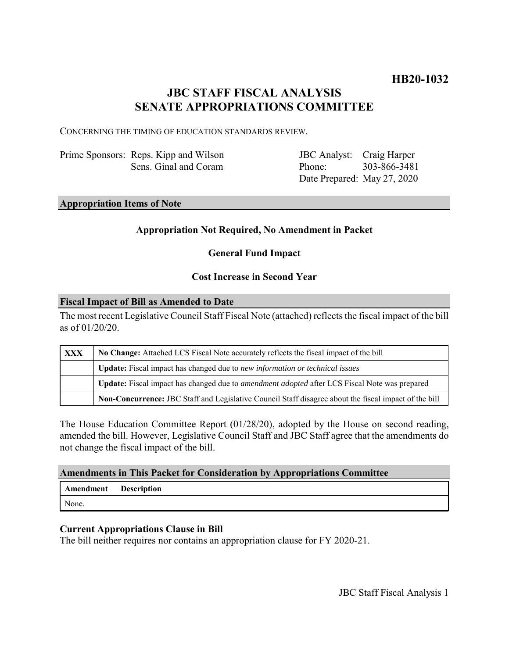# **HB20-1032**

# **JBC STAFF FISCAL ANALYSIS SENATE APPROPRIATIONS COMMITTEE**

CONCERNING THE TIMING OF EDUCATION STANDARDS REVIEW.

Prime Sponsors: Reps. Kipp and Wilson Sens. Ginal and Coram

JBC Analyst: Craig Harper Phone: Date Prepared: May 27, 2020 303-866-3481

#### **Appropriation Items of Note**

# **Appropriation Not Required, No Amendment in Packet**

# **General Fund Impact**

### **Cost Increase in Second Year**

#### **Fiscal Impact of Bill as Amended to Date**

The most recent Legislative Council Staff Fiscal Note (attached) reflects the fiscal impact of the bill as of 01/20/20.

| XXX | No Change: Attached LCS Fiscal Note accurately reflects the fiscal impact of the bill                 |
|-----|-------------------------------------------------------------------------------------------------------|
|     | <b>Update:</b> Fiscal impact has changed due to new information or technical issues                   |
|     | Update: Fiscal impact has changed due to <i>amendment adopted</i> after LCS Fiscal Note was prepared  |
|     | Non-Concurrence: JBC Staff and Legislative Council Staff disagree about the fiscal impact of the bill |

The House Education Committee Report (01/28/20), adopted by the House on second reading, amended the bill. However, Legislative Council Staff and JBC Staff agree that the amendments do not change the fiscal impact of the bill.

#### **Amendments in This Packet for Consideration by Appropriations Committee**

| Amendment | <b>Description</b> |
|-----------|--------------------|
| None.     |                    |

# **Current Appropriations Clause in Bill**

The bill neither requires nor contains an appropriation clause for FY 2020-21.